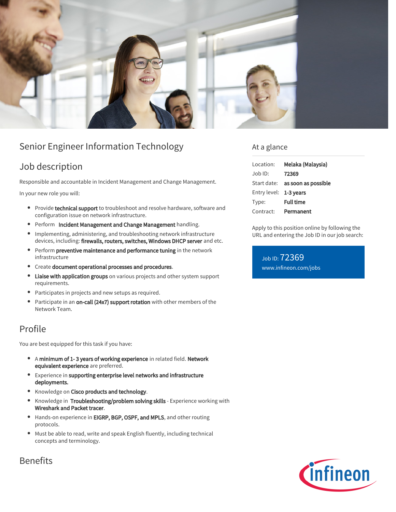

# Senior Engineer Information Technology

## Job description

Responsible and accountable in Incident Management and Change Management.

In your new role you will:

- $\bullet$ Provide technical support to troubleshoot and resolve hardware, software and configuration issue on network infrastructure.
- Perform Incident Management and Change Management handling.
- Implementing, administering, and troubleshooting network infrastructure devices, including: firewalls, routers, switches, Windows DHCP server and etc.
- **•** Perform preventive maintenance and performance tuning in the network infrastructure
- **•** Create document operational processes and procedures.
- $\bullet$ Liaise with application groups on various projects and other system support requirements.
- Participates in projects and new setups as required.
- Participate in an on-call (24x7) support rotation with other members of the  $\bullet$ Network Team.

### Profile

You are best equipped for this task if you have:

- A minimum of 1- 3 years of working experience in related field. Network equivalent experience are preferred.
- Experience in supporting enterprise level networks and infrastructure  $\bullet$ deployments.
- **Knowledge on Cisco products and technology.**
- $\bullet$ Knowledge in Troubleshooting/problem solving skills - Experience working with Wireshark and Packet tracer.
- Hands-on experience in EIGRP, BGP, OSPF, and MPLS, and other routing  $\bullet$ protocols.
- Must be able to read, write and speak English fluently, including technical concepts and terminology.

### At a glance

| Location:    | Melaka (Malaysia)                      |
|--------------|----------------------------------------|
| Job ID:      | 72369                                  |
|              | Start date: <b>as soon as possible</b> |
| Entry level: | 1-3 years                              |
| Type:        | <b>Full time</b>                       |
| Contract:    | Permanent                              |

Apply to this position online by following the URL and entering the Job ID in our job search:

Job ID: 72369 [www.infineon.com/jobs](https://www.infineon.com/jobs)



### **Benefits**